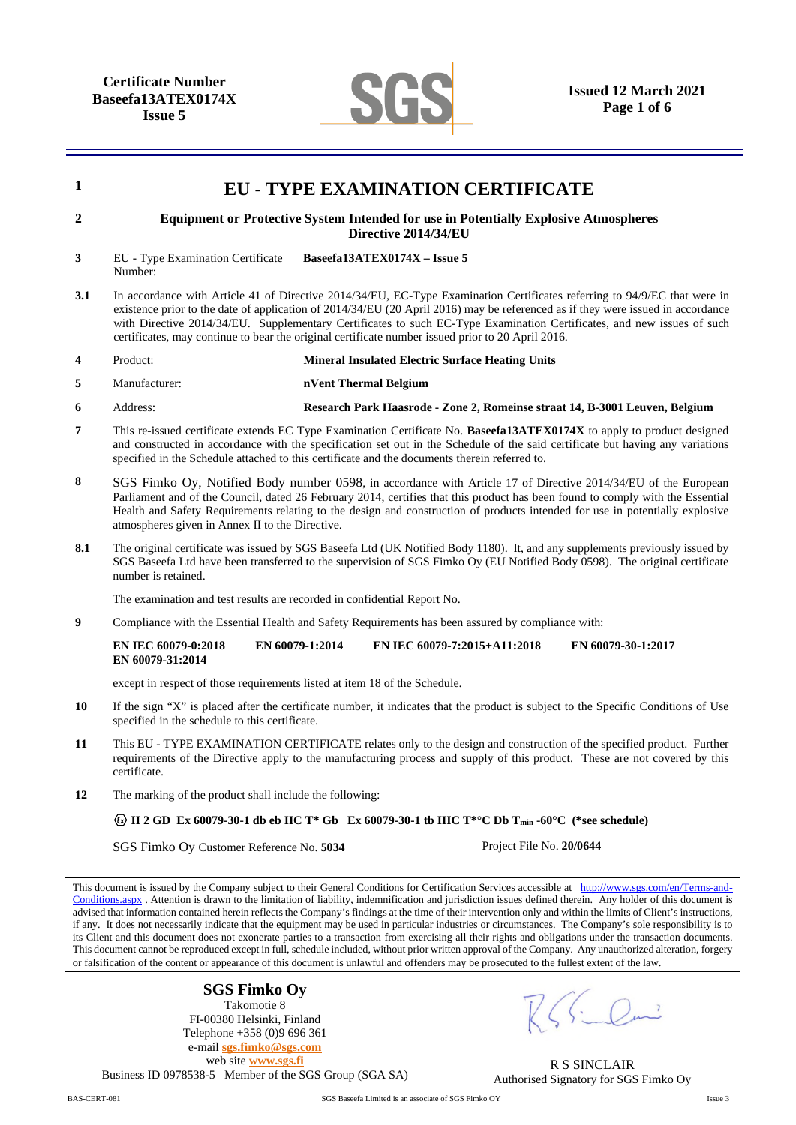

| $\mathbf{1}$     | <b>EU - TYPE EXAMINATION CERTIFICATE</b>                                                                                                                                                                                                                                                                                                                                                                                                                                                                                                                                                                                                                                                                                                                                                                                                                                                                                                                                                                                                                                                                                         |                       |                                                         |                          |                                                                             |  |  |  |
|------------------|----------------------------------------------------------------------------------------------------------------------------------------------------------------------------------------------------------------------------------------------------------------------------------------------------------------------------------------------------------------------------------------------------------------------------------------------------------------------------------------------------------------------------------------------------------------------------------------------------------------------------------------------------------------------------------------------------------------------------------------------------------------------------------------------------------------------------------------------------------------------------------------------------------------------------------------------------------------------------------------------------------------------------------------------------------------------------------------------------------------------------------|-----------------------|---------------------------------------------------------|--------------------------|-----------------------------------------------------------------------------|--|--|--|
| $\boldsymbol{2}$ | <b>Equipment or Protective System Intended for use in Potentially Explosive Atmospheres</b><br>Directive 2014/34/EU                                                                                                                                                                                                                                                                                                                                                                                                                                                                                                                                                                                                                                                                                                                                                                                                                                                                                                                                                                                                              |                       |                                                         |                          |                                                                             |  |  |  |
| 3                | EU - Type Examination Certificate<br>Number:                                                                                                                                                                                                                                                                                                                                                                                                                                                                                                                                                                                                                                                                                                                                                                                                                                                                                                                                                                                                                                                                                     |                       | Baseefa13ATEX0174X - Issue 5                            |                          |                                                                             |  |  |  |
| 3.1              | In accordance with Article 41 of Directive 2014/34/EU, EC-Type Examination Certificates referring to 94/9/EC that were in<br>existence prior to the date of application of 2014/34/EU (20 April 2016) may be referenced as if they were issued in accordance<br>with Directive 2014/34/EU. Supplementary Certificates to such EC-Type Examination Certificates, and new issues of such<br>certificates, may continue to bear the original certificate number issued prior to 20 April 2016.                                                                                                                                                                                                                                                                                                                                                                                                                                                                                                                                                                                                                                      |                       |                                                         |                          |                                                                             |  |  |  |
| 4                | Product:                                                                                                                                                                                                                                                                                                                                                                                                                                                                                                                                                                                                                                                                                                                                                                                                                                                                                                                                                                                                                                                                                                                         |                       | <b>Mineral Insulated Electric Surface Heating Units</b> |                          |                                                                             |  |  |  |
| 5                | Manufacturer:                                                                                                                                                                                                                                                                                                                                                                                                                                                                                                                                                                                                                                                                                                                                                                                                                                                                                                                                                                                                                                                                                                                    | nVent Thermal Belgium |                                                         |                          |                                                                             |  |  |  |
| 6                | Address:                                                                                                                                                                                                                                                                                                                                                                                                                                                                                                                                                                                                                                                                                                                                                                                                                                                                                                                                                                                                                                                                                                                         |                       |                                                         |                          | Research Park Haasrode - Zone 2, Romeinse straat 14, B-3001 Leuven, Belgium |  |  |  |
| 7                | This re-issued certificate extends EC Type Examination Certificate No. Baseefa13ATEX0174X to apply to product designed<br>and constructed in accordance with the specification set out in the Schedule of the said certificate but having any variations<br>specified in the Schedule attached to this certificate and the documents therein referred to.                                                                                                                                                                                                                                                                                                                                                                                                                                                                                                                                                                                                                                                                                                                                                                        |                       |                                                         |                          |                                                                             |  |  |  |
| 8                | SGS Fimko Oy, Notified Body number 0598, in accordance with Article 17 of Directive 2014/34/EU of the European<br>Parliament and of the Council, dated 26 February 2014, certifies that this product has been found to comply with the Essential<br>Health and Safety Requirements relating to the design and construction of products intended for use in potentially explosive<br>atmospheres given in Annex II to the Directive.                                                                                                                                                                                                                                                                                                                                                                                                                                                                                                                                                                                                                                                                                              |                       |                                                         |                          |                                                                             |  |  |  |
| 8.1              | The original certificate was issued by SGS Baseefa Ltd (UK Notified Body 1180). It, and any supplements previously issued by<br>SGS Baseefa Ltd have been transferred to the supervision of SGS Fimko Oy (EU Notified Body 0598). The original certificate<br>number is retained.                                                                                                                                                                                                                                                                                                                                                                                                                                                                                                                                                                                                                                                                                                                                                                                                                                                |                       |                                                         |                          |                                                                             |  |  |  |
|                  | The examination and test results are recorded in confidential Report No.                                                                                                                                                                                                                                                                                                                                                                                                                                                                                                                                                                                                                                                                                                                                                                                                                                                                                                                                                                                                                                                         |                       |                                                         |                          |                                                                             |  |  |  |
| 9                | Compliance with the Essential Health and Safety Requirements has been assured by compliance with:                                                                                                                                                                                                                                                                                                                                                                                                                                                                                                                                                                                                                                                                                                                                                                                                                                                                                                                                                                                                                                |                       |                                                         |                          |                                                                             |  |  |  |
|                  | EN 60079-1:2014<br>EN IEC 60079-0:2018<br>EN IEC 60079-7:2015+A11:2018<br>EN 60079-30-1:2017<br>EN 60079-31:2014                                                                                                                                                                                                                                                                                                                                                                                                                                                                                                                                                                                                                                                                                                                                                                                                                                                                                                                                                                                                                 |                       |                                                         |                          |                                                                             |  |  |  |
|                  | except in respect of those requirements listed at item 18 of the Schedule.                                                                                                                                                                                                                                                                                                                                                                                                                                                                                                                                                                                                                                                                                                                                                                                                                                                                                                                                                                                                                                                       |                       |                                                         |                          |                                                                             |  |  |  |
| 10               | If the sign "X" is placed after the certificate number, it indicates that the product is subject to the Specific Conditions of Use<br>specified in the schedule to this certificate.                                                                                                                                                                                                                                                                                                                                                                                                                                                                                                                                                                                                                                                                                                                                                                                                                                                                                                                                             |                       |                                                         |                          |                                                                             |  |  |  |
| 11               | This EU - TYPE EXAMINATION CERTIFICATE relates only to the design and construction of the specified product. Further<br>requirements of the Directive apply to the manufacturing process and supply of this product. These are not covered by this<br>certificate.                                                                                                                                                                                                                                                                                                                                                                                                                                                                                                                                                                                                                                                                                                                                                                                                                                                               |                       |                                                         |                          |                                                                             |  |  |  |
| 12               | The marking of the product shall include the following:                                                                                                                                                                                                                                                                                                                                                                                                                                                                                                                                                                                                                                                                                                                                                                                                                                                                                                                                                                                                                                                                          |                       |                                                         |                          |                                                                             |  |  |  |
|                  | $\circledast$ II 2 GD Ex 60079-30-1 db eb IIC T* Gb Ex 60079-30-1 tb IIIC T*°C Db T <sub>min</sub> -60°C (*see schedule)                                                                                                                                                                                                                                                                                                                                                                                                                                                                                                                                                                                                                                                                                                                                                                                                                                                                                                                                                                                                         |                       |                                                         |                          |                                                                             |  |  |  |
|                  | SGS Fimko Oy Customer Reference No. 5034                                                                                                                                                                                                                                                                                                                                                                                                                                                                                                                                                                                                                                                                                                                                                                                                                                                                                                                                                                                                                                                                                         |                       |                                                         | Project File No. 20/0644 |                                                                             |  |  |  |
|                  | This document is issued by the Company subject to their General Conditions for Certification Services accessible at http://www.sgs.com/en/Terms-and-<br>Conditions.aspx. Attention is drawn to the limitation of liability, indemnification and jurisdiction issues defined therein. Any holder of this document is<br>advised that information contained herein reflects the Company's findings at the time of their intervention only and within the limits of Client's instructions,<br>if any. It does not necessarily indicate that the equipment may be used in particular industries or circumstances. The Company's sole responsibility is to<br>its Client and this document does not exonerate parties to a transaction from exercising all their rights and obligations under the transaction documents.<br>This document cannot be reproduced except in full, schedule included, without prior written approval of the Company. Any unauthorized alteration, forgery<br>or falsification of the content or appearance of this document is unlawful and offenders may be prosecuted to the fullest extent of the law. |                       |                                                         |                          |                                                                             |  |  |  |

**SGS Fimko Oy**  Takomotie 8 FI-00380 Helsinki, Finland Telephone +358 (0)9 696 361 e-mail **sgs.fimko@sgs.com** web site **www.sgs.fi**

Business ID 0978538-5 Member of the SGS Group (SGA SA)

R S SINCLAIR Authorised Signatory for SGS Fimko Oy

 $\sum_{\mu\sim\mu}$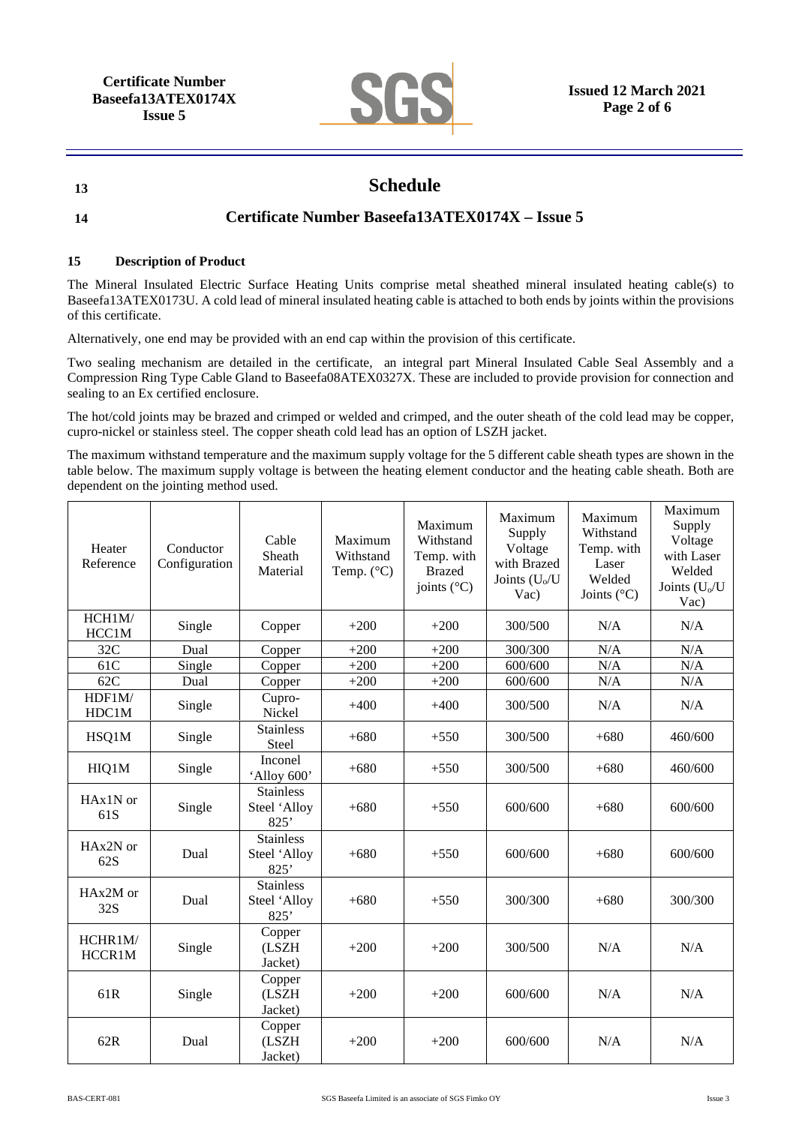

# **13 Schedule**

# **14 Certificate Number Baseefa13ATEX0174X – Issue 5**

### **15 Description of Product**

The Mineral Insulated Electric Surface Heating Units comprise metal sheathed mineral insulated heating cable(s) to Baseefa13ATEX0173U. A cold lead of mineral insulated heating cable is attached to both ends by joints within the provisions of this certificate.

Alternatively, one end may be provided with an end cap within the provision of this certificate.

Two sealing mechanism are detailed in the certificate, an integral part Mineral Insulated Cable Seal Assembly and a Compression Ring Type Cable Gland to Baseefa08ATEX0327X. These are included to provide provision for connection and sealing to an Ex certified enclosure.

The hot/cold joints may be brazed and crimped or welded and crimped, and the outer sheath of the cold lead may be copper, cupro-nickel or stainless steel. The copper sheath cold lead has an option of LSZH jacket.

The maximum withstand temperature and the maximum supply voltage for the 5 different cable sheath types are shown in the table below. The maximum supply voltage is between the heating element conductor and the heating cable sheath. Both are dependent on the jointing method used.

| Heater<br>Reference | Conductor<br>Configuration | Cable<br>Sheath<br>Material              | Maximum<br>Withstand<br>Temp. $(^{\circ}C)$ | Maximum<br>Withstand<br>Temp. with<br><b>Brazed</b><br>joints $(^{\circ}C)$ | Maximum<br>Supply<br>Voltage<br>with Brazed<br>Joints $(U_0/U)$<br>Vac) | Maximum<br>Withstand<br>Temp. with<br>Laser<br>Welded<br>Joints $(^{\circ}C)$ | Maximum<br>Supply<br>Voltage<br>with Laser<br>Welded<br>Joints (U <sub>o</sub> /U<br>Vac) |
|---------------------|----------------------------|------------------------------------------|---------------------------------------------|-----------------------------------------------------------------------------|-------------------------------------------------------------------------|-------------------------------------------------------------------------------|-------------------------------------------------------------------------------------------|
| HCH1M/<br>HCC1M     | Single                     | Copper                                   | $+200$                                      | $+200$                                                                      | 300/500                                                                 | N/A                                                                           | N/A                                                                                       |
| 32C                 | Dual                       | Copper                                   | $+200$                                      | $+200$                                                                      | 300/300                                                                 | N/A                                                                           | N/A                                                                                       |
| 61C                 | Single                     | Copper                                   | $+200$                                      | $+200$                                                                      | 600/600                                                                 | N/A                                                                           | N/A                                                                                       |
| 62C                 | Dual                       | Copper                                   | $+200$                                      | $+200$                                                                      | 600/600                                                                 | N/A                                                                           | N/A                                                                                       |
| HDF1M/<br>HDC1M     | Single                     | Cupro-<br>Nickel                         | $+400$                                      | $+400$                                                                      | 300/500                                                                 | N/A                                                                           | N/A                                                                                       |
| HSQ1M               | Single                     | <b>Stainless</b><br><b>Steel</b>         | $+680$                                      | $+550$                                                                      | 300/500                                                                 | $+680$                                                                        | 460/600                                                                                   |
| HIQ1M               | Single                     | Inconel<br>'Alloy 600'                   | $+680$                                      | $+550$                                                                      | 300/500                                                                 | $+680$                                                                        | 460/600                                                                                   |
| $H Ax1N$ or<br>61S  | Single                     | <b>Stainless</b><br>Steel 'Alloy<br>825' | $+680$                                      | $+550$                                                                      | 600/600                                                                 | $+680$                                                                        | 600/600                                                                                   |
| HAx2N or<br>62S     | Dual                       | <b>Stainless</b><br>Steel 'Alloy<br>825' | $+680$                                      | $+550$                                                                      | 600/600                                                                 | $+680$                                                                        | 600/600                                                                                   |
| HAx2M or<br>32S     | Dual                       | <b>Stainless</b><br>Steel 'Alloy<br>825' | $+680$                                      | $+550$                                                                      | 300/300                                                                 | $+680$                                                                        | 300/300                                                                                   |
| HCHR1M/<br>HCCR1M   | Single                     | Copper<br>(LSZH<br>Jacket)               | $+200$                                      | $+200$                                                                      | 300/500                                                                 | N/A                                                                           | N/A                                                                                       |
| 61R                 | Single                     | Copper<br>(LSZH<br>Jacket)               | $+200$                                      | $+200$                                                                      | 600/600                                                                 | N/A                                                                           | N/A                                                                                       |
| 62R                 | Dual                       | Copper<br>(LSZH<br>Jacket)               | $+200$                                      | $+200$                                                                      | 600/600                                                                 | N/A                                                                           | N/A                                                                                       |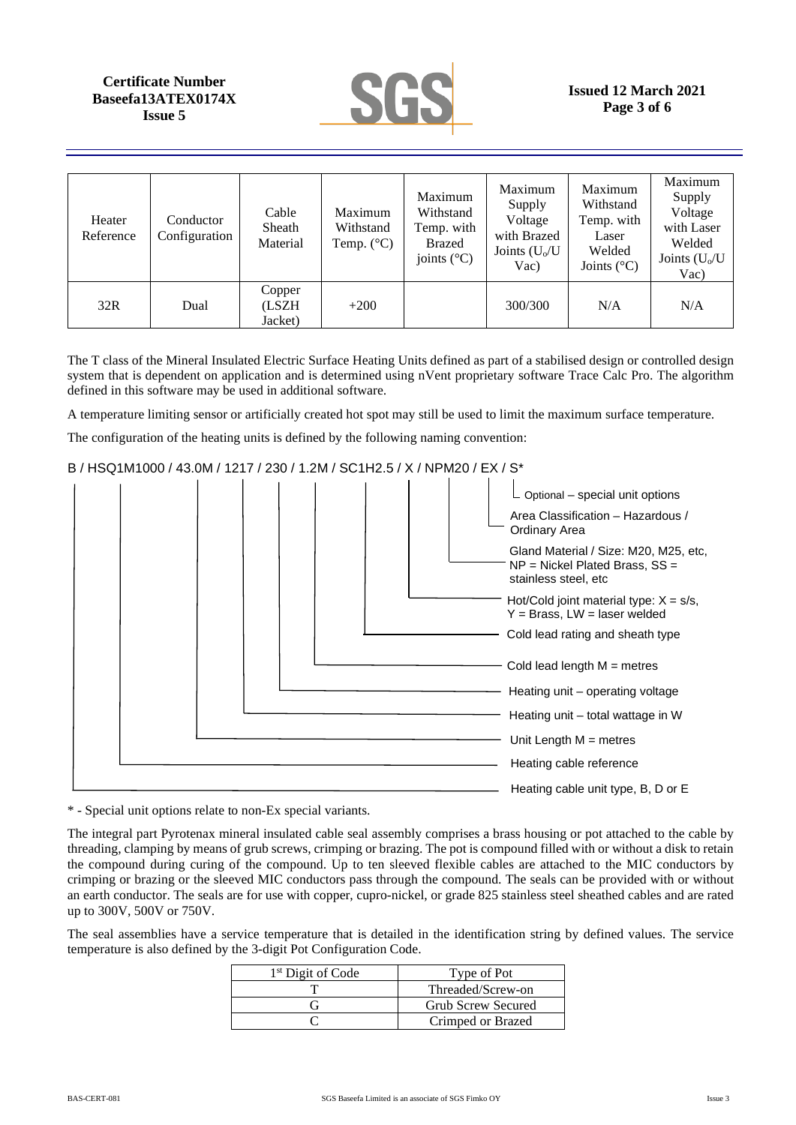# **Certificate Number Baseefa13ATEX0174X Issue 5**



| Heater<br>Reference | Conductor<br>Configuration | Cable<br>Sheath<br>Material | Maximum<br>Withstand<br>Temp. $(^{\circ}C)$ | Maximum<br>Withstand<br>Temp. with<br><b>Brazed</b><br>joints $(^{\circ}C)$ | Maximum<br>Supply<br>Voltage<br>with Brazed<br>Joints $(U_0/U)$<br>Vac) | Maximum<br>Withstand<br>Temp. with<br>Laser<br>Welded<br>Joints $(^{\circ}C)$ | Maximum<br>Supply<br>Voltage<br>with Laser<br>Welded<br>Joints $(U_0/U)$<br>Vac) |
|---------------------|----------------------------|-----------------------------|---------------------------------------------|-----------------------------------------------------------------------------|-------------------------------------------------------------------------|-------------------------------------------------------------------------------|----------------------------------------------------------------------------------|
| 32R                 | Dual                       | Copper<br>(LSZH<br>Jacket)  | $+200$                                      |                                                                             | 300/300                                                                 | N/A                                                                           | N/A                                                                              |

The T class of the Mineral Insulated Electric Surface Heating Units defined as part of a stabilised design or controlled design system that is dependent on application and is determined using nVent proprietary software Trace Calc Pro. The algorithm defined in this software may be used in additional software.

A temperature limiting sensor or artificially created hot spot may still be used to limit the maximum surface temperature.

The configuration of the heating units is defined by the following naming convention:

## B / HSQ1M1000 / 43.0M / 1217 / 230 / 1.2M / SC1H2.5 / X / NPM20 / EX / S\*



\* - Special unit options relate to non-Ex special variants.

The integral part Pyrotenax mineral insulated cable seal assembly comprises a brass housing or pot attached to the cable by threading, clamping by means of grub screws, crimping or brazing. The pot is compound filled with or without a disk to retain the compound during curing of the compound. Up to ten sleeved flexible cables are attached to the MIC conductors by crimping or brazing or the sleeved MIC conductors pass through the compound. The seals can be provided with or without an earth conductor. The seals are for use with copper, cupro-nickel, or grade 825 stainless steel sheathed cables and are rated up to 300V, 500V or 750V.

The seal assemblies have a service temperature that is detailed in the identification string by defined values. The service temperature is also defined by the 3-digit Pot Configuration Code.

| <sup>1st</sup> Digit of Code | Type of Pot               |
|------------------------------|---------------------------|
|                              | Threaded/Screw-on         |
|                              | <b>Grub Screw Secured</b> |
|                              | Crimped or Brazed         |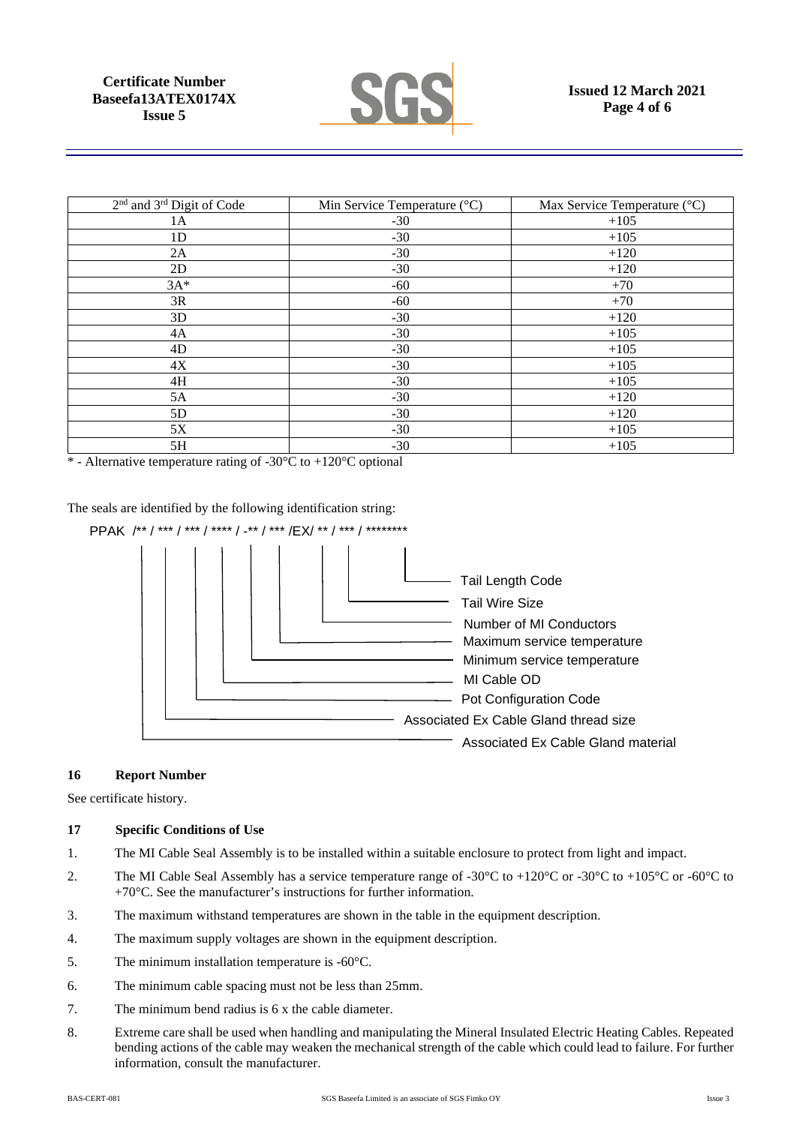

| 2 <sup>nd</sup> and <sup>3rd</sup> Digit of Code | Min Service Temperature $(^{\circ}C)$ | Max Service Temperature (°C) |
|--------------------------------------------------|---------------------------------------|------------------------------|
| 1A                                               | $-30$                                 | $+105$                       |
| 1D                                               | $-30$                                 | $+105$                       |
| 2A                                               | $-30$                                 | $+120$                       |
| 2D                                               | $-30$                                 | $+120$                       |
| $3A*$                                            | $-60$                                 | $+70$                        |
| 3R                                               | $-60$                                 | $+70$                        |
| 3D                                               | $-30$                                 | $+120$                       |
| 4A                                               | $-30$                                 | $+105$                       |
| 4D                                               | $-30$                                 | $+105$                       |
| 4X                                               | $-30$                                 | $+105$                       |
| 4H                                               | $-30$                                 | $+105$                       |
| 5A                                               | $-30$                                 | $+120$                       |
| 5D                                               | $-30$                                 | $+120$                       |
| 5X                                               | $-30$                                 | $+105$                       |
| 5H                                               | $-30$                                 | $+105$                       |

\* - Alternative temperature rating of -30 $\degree$ C to +120 $\degree$ C optional

The seals are identified by the following identification string:



#### **16 Report Number**

See certificate history.

#### **17 Specific Conditions of Use**

- 1. The MI Cable Seal Assembly is to be installed within a suitable enclosure to protect from light and impact.
- 2. The MI Cable Seal Assembly has a service temperature range of -30 $\degree$ C to +120 $\degree$ C or -30 $\degree$ C to +105 $\degree$ C or -60 $\degree$ C to  $+70^{\circ}$ C. See the manufacturer's instructions for further information.
- 3. The maximum withstand temperatures are shown in the table in the equipment description.
- 4. The maximum supply voltages are shown in the equipment description.
- 5. The minimum installation temperature is -60°C.
- 6. The minimum cable spacing must not be less than 25mm.
- 7. The minimum bend radius is 6 x the cable diameter.
- 8. Extreme care shall be used when handling and manipulating the Mineral Insulated Electric Heating Cables. Repeated bending actions of the cable may weaken the mechanical strength of the cable which could lead to failure. For further information, consult the manufacturer.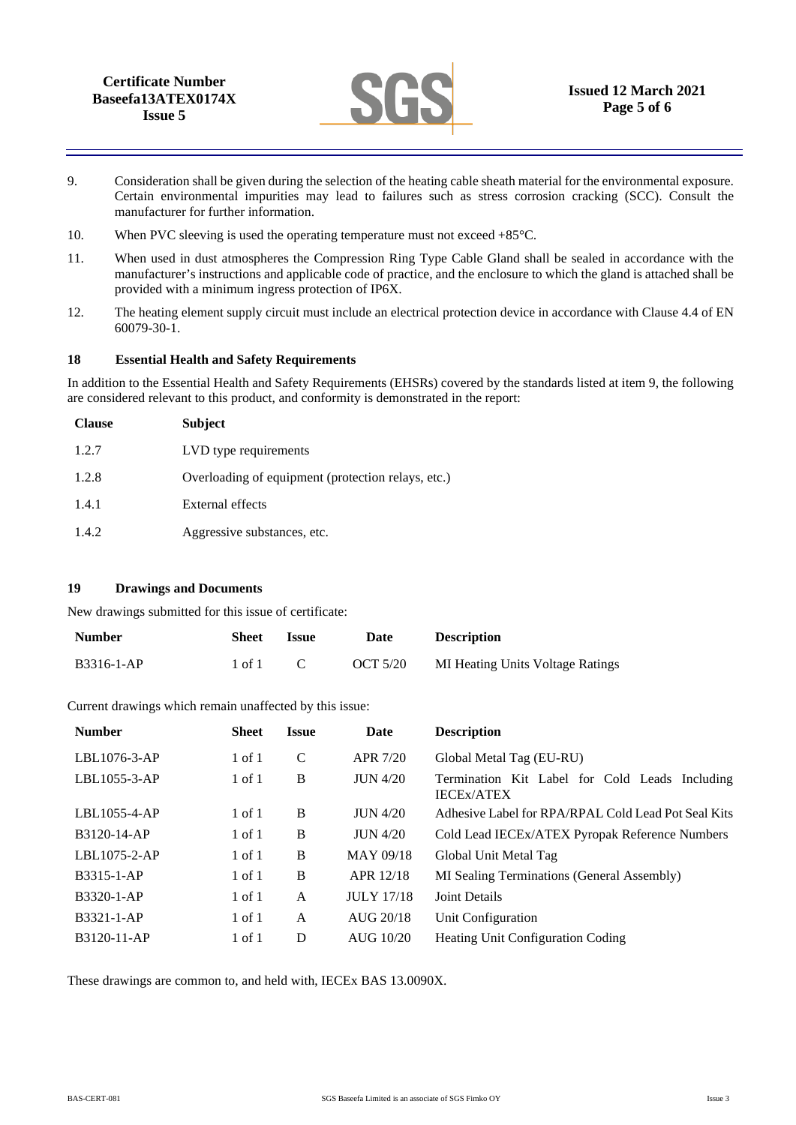

- 9. Consideration shall be given during the selection of the heating cable sheath material for the environmental exposure. Certain environmental impurities may lead to failures such as stress corrosion cracking (SCC). Consult the manufacturer for further information.
- 10. When PVC sleeving is used the operating temperature must not exceed  $+85^{\circ}$ C.
- 11. When used in dust atmospheres the Compression Ring Type Cable Gland shall be sealed in accordance with the manufacturer's instructions and applicable code of practice, and the enclosure to which the gland is attached shall be provided with a minimum ingress protection of IP6X.
- 12. The heating element supply circuit must include an electrical protection device in accordance with Clause 4.4 of EN 60079-30-1.

#### **18 Essential Health and Safety Requirements**

In addition to the Essential Health and Safety Requirements (EHSRs) covered by the standards listed at item 9, the following are considered relevant to this product, and conformity is demonstrated in the report:

| <b>Clause</b> | <b>Subject</b>                                     |
|---------------|----------------------------------------------------|
| 1.2.7         | LVD type requirements                              |
| 1.2.8         | Overloading of equipment (protection relays, etc.) |
| 1.4.1         | External effects                                   |
| 1.4.2         | Aggressive substances, etc.                        |

## **19 Drawings and Documents**

New drawings submitted for this issue of certificate:

| <b>Number</b> | Sheet  | <b>Issue</b> | Date     | <b>Description</b>                      |
|---------------|--------|--------------|----------|-----------------------------------------|
| B3316-1-AP    | 1 of 1 |              | OCT 5/20 | <b>MI Heating Units Voltage Ratings</b> |

Current drawings which remain unaffected by this issue:

| <b>Number</b> | Sheet      | <i>Issue</i> | Date              | <b>Description</b>                                                             |  |
|---------------|------------|--------------|-------------------|--------------------------------------------------------------------------------|--|
| LBL1076-3-AP  | $1$ of $1$ | C            | APR 7/20          | Global Metal Tag (EU-RU)                                                       |  |
| LBL1055-3-AP  | $1$ of $1$ | B            | JUN 4/20          | Termination Kit Label for Cold Leads Including<br><b>IECE<sub>x</sub>/ATEX</b> |  |
| LBL1055-4-AP  | $1$ of $1$ | B            | JUN 4/20          | Adhesive Label for RPA/RPAL Cold Lead Pot Seal Kits                            |  |
| B3120-14-AP   | $1$ of $1$ | B            | <b>JUN 4/20</b>   | Cold Lead IECEx/ATEX Pyropak Reference Numbers                                 |  |
| LBL1075-2-AP  | $1$ of $1$ | B            | MAY 09/18         | Global Unit Metal Tag                                                          |  |
| B3315-1-AP    | $1$ of $1$ | B            | APR 12/18         | MI Sealing Terminations (General Assembly)                                     |  |
| B3320-1-AP    | $1$ of $1$ | A            | <b>JULY 17/18</b> | <b>Joint Details</b>                                                           |  |
| B3321-1-AP    | $1$ of $1$ | A            | AUG 20/18         | Unit Configuration                                                             |  |
| B3120-11-AP   | $1$ of $1$ | D            | AUG $10/20$       | Heating Unit Configuration Coding                                              |  |

These drawings are common to, and held with, IECEx BAS 13.0090X.